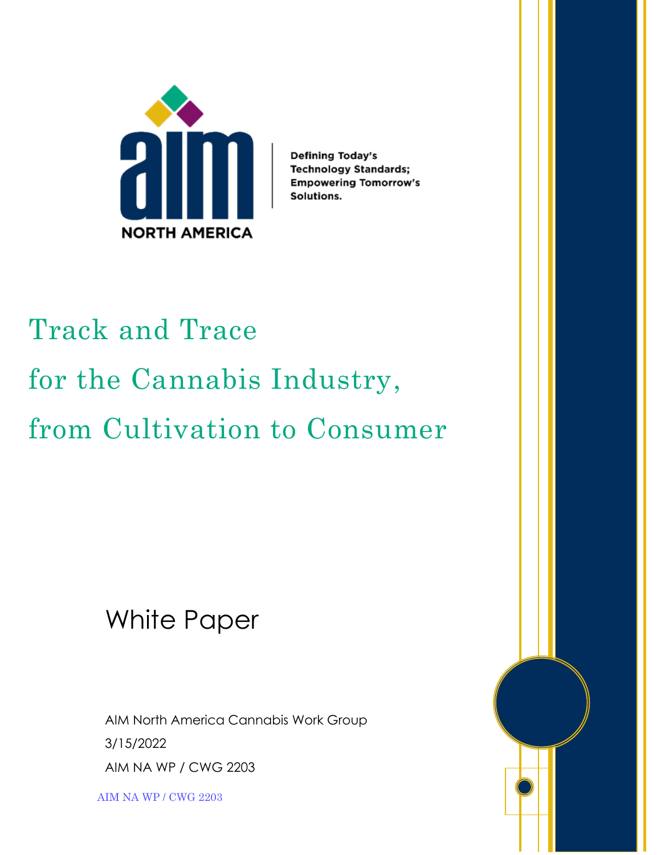

**Defining Today's Technology Standards; Empowering Tomorrow's** Solutions.

# Track and Trace for the Cannabis Industry, from Cultivation to Consumer

## White Paper

AIM North America Cannabis Work Group 3/15/2022 AIM NA WP / CWG 2203

AIM NA WP / CWG 2203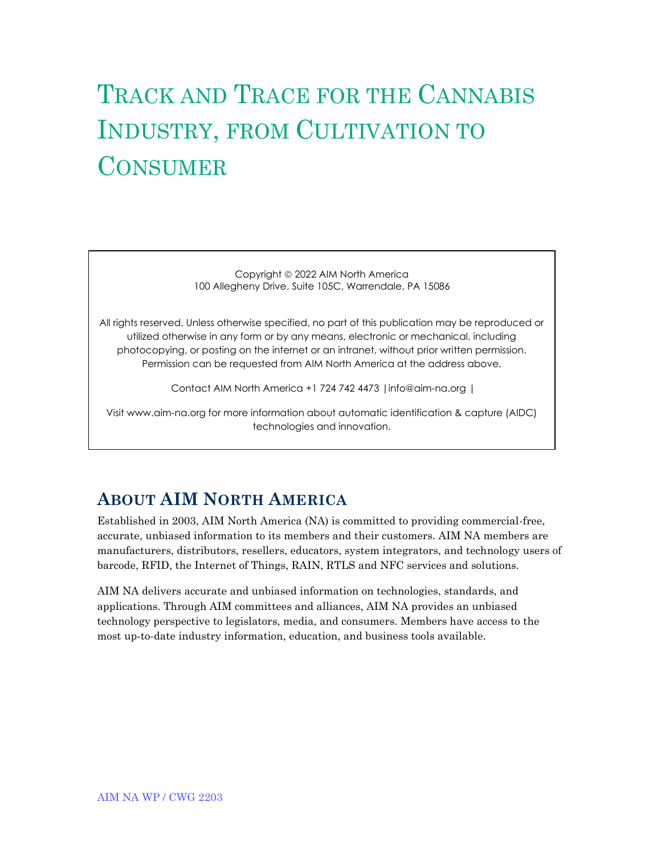## TRACK AND TRACE FOR THE CANNABIS INDUSTRY, FROM CULTIVATION TO **CONSUMER**

Copyright © 2022 AIM North America 100 Allegheny Drive, Suite 105C, Warrendale, PA 15086

All rights reserved. Unless otherwise specified, no part of this publication may be reproduced or utilized otherwise in any form or by any means, electronic or mechanical, including photocopying, or posting on the internet or an intranet, without prior written permission. Permission can be requested from AIM North America at the address above.

Contact AIM North America +1 724 742 4473 |info@aim-na.org |

Visit www.aim-na.org for more information about automatic identification & capture (AIDC) technologies and innovation.

## **ABOUT AIM NORTH AMERICA**

Established in 2003, AIM North America (NA) is committed to providing commercial-free, accurate, unbiased information to its members and their customers. AIM NA members are manufacturers, distributors, resellers, educators, system integrators, and technology users of barcode, RFID, the Internet of Things, RAIN, RTLS and NFC services and solutions.

AIM NA delivers accurate and unbiased information on technologies, standards, and applications. Through AIM committees and alliances, AIM NA provides an unbiased technology perspective to legislators, media, and consumers. Members have access to the most up-to-date industry information, education, and business tools available.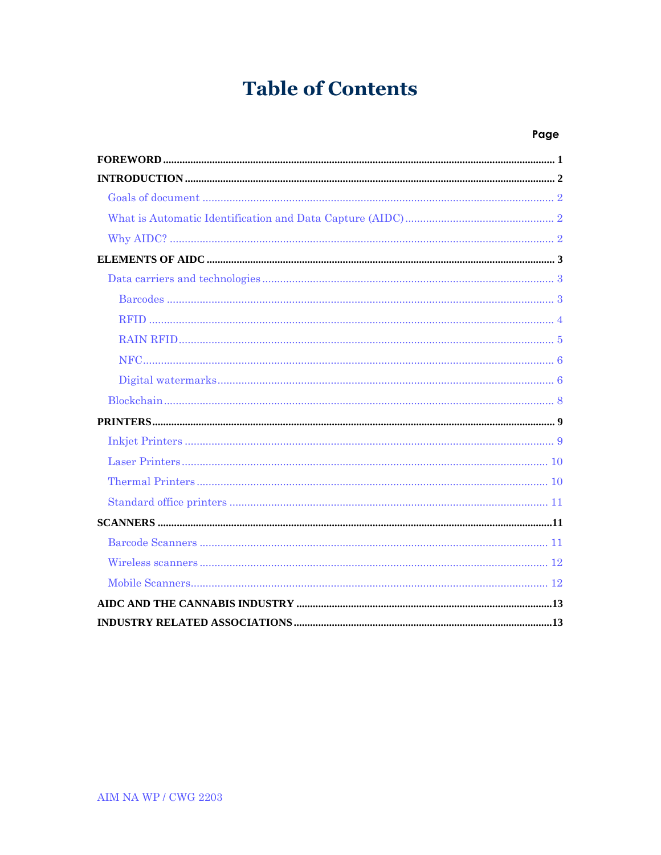## **Table of Contents**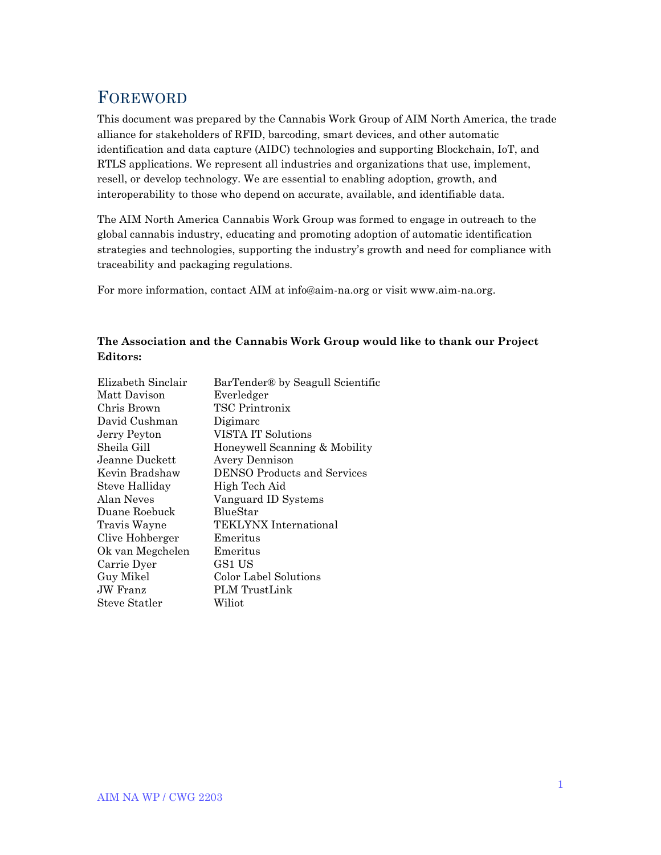## <span id="page-3-0"></span>FOREWORD

This document was prepared by the Cannabis Work Group of AIM North America, the trade alliance for stakeholders of RFID, barcoding, smart devices, and other automatic identification and data capture (AIDC) technologies and supporting Blockchain, IoT, and RTLS applications. We represent all industries and organizations that use, implement, resell, or develop technology. We are essential to enabling adoption, growth, and interoperability to those who depend on accurate, available, and identifiable data.

The AIM North America Cannabis Work Group was formed to engage in outreach to the global cannabis industry, educating and promoting adoption of automatic identification strategies and technologies, supporting the industry's growth and need for compliance with traceability and packaging regulations.

For more information, contact AIM at info@aim-na.org or visit www.aim-na.org.

#### **The Association and the Cannabis Work Group would like to thank our Project Editors:**

| BarTender® by Seagull Scientific   |
|------------------------------------|
| Everledger                         |
| TSC Printronix                     |
| Digimarc                           |
| <b>VISTA IT Solutions</b>          |
| Honeywell Scanning & Mobility      |
| <b>Avery Dennison</b>              |
| <b>DENSO Products and Services</b> |
| High Tech Aid                      |
| Vanguard ID Systems                |
| BlueStar                           |
| TEKLYNX International              |
| Emeritus                           |
| Emeritus                           |
| GS1 US                             |
| Color Label Solutions              |
| PLM TrustLink                      |
| Wiliot                             |
|                                    |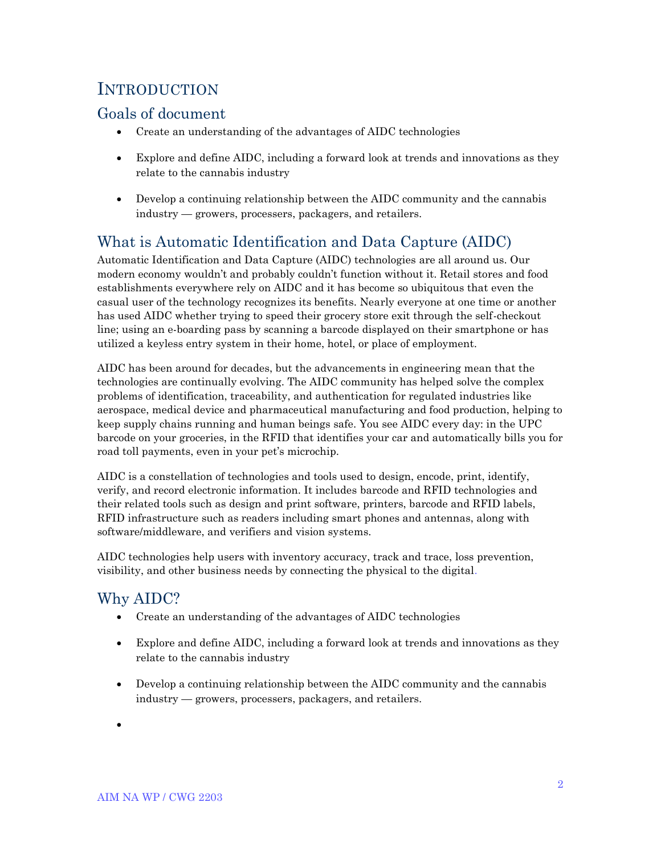## <span id="page-4-0"></span>INTRODUCTION

## <span id="page-4-2"></span><span id="page-4-1"></span>Goals of document

- Create an understanding of the advantages of AIDC technologies
- Explore and define AIDC, including a forward look at trends and innovations as they relate to the cannabis industry
- Develop a continuing relationship between the AIDC community and the cannabis industry — growers, processers, packagers, and retailers.

## What is Automatic Identification and Data Capture (AIDC)

Automatic Identification and Data Capture (AIDC) technologies are all around us. Our modern economy wouldn't and probably couldn't function without it. Retail stores and food establishments everywhere rely on AIDC and it has become so ubiquitous that even the casual user of the technology recognizes its benefits. Nearly everyone at one time or another has used AIDC whether trying to speed their grocery store exit through the self-checkout line; using an e-boarding pass by scanning a barcode displayed on their smartphone or has utilized a keyless entry system in their home, hotel, or place of employment.

AIDC has been around for decades, but the advancements in engineering mean that the technologies are continually evolving. The AIDC community has helped solve the complex problems of identification, traceability, and authentication for regulated industries like aerospace, medical device and pharmaceutical manufacturing and food production, helping to keep supply chains running and human beings safe. You see AIDC every day: in the UPC barcode on your groceries, in the RFID that identifies your car and automatically bills you for road toll payments, even in your pet's microchip.

AIDC is a constellation of technologies and tools used to design, encode, print, identify, verify, and record electronic information. It includes barcode and RFID technologies and their related tools such as design and print software, printers, barcode and RFID labels, RFID infrastructure such as readers including smart phones and antennas, along with software/middleware, and verifiers and vision systems.

AIDC technologies help users with inventory accuracy, track and trace, loss prevention, visibility, and other business needs by connecting the physical to the digital.

## <span id="page-4-3"></span>Why AIDC?

- Create an understanding of the advantages of AIDC technologies
- Explore and define AIDC, including a forward look at trends and innovations as they relate to the cannabis industry
- Develop a continuing relationship between the AIDC community and the cannabis industry — growers, processers, packagers, and retailers.
- •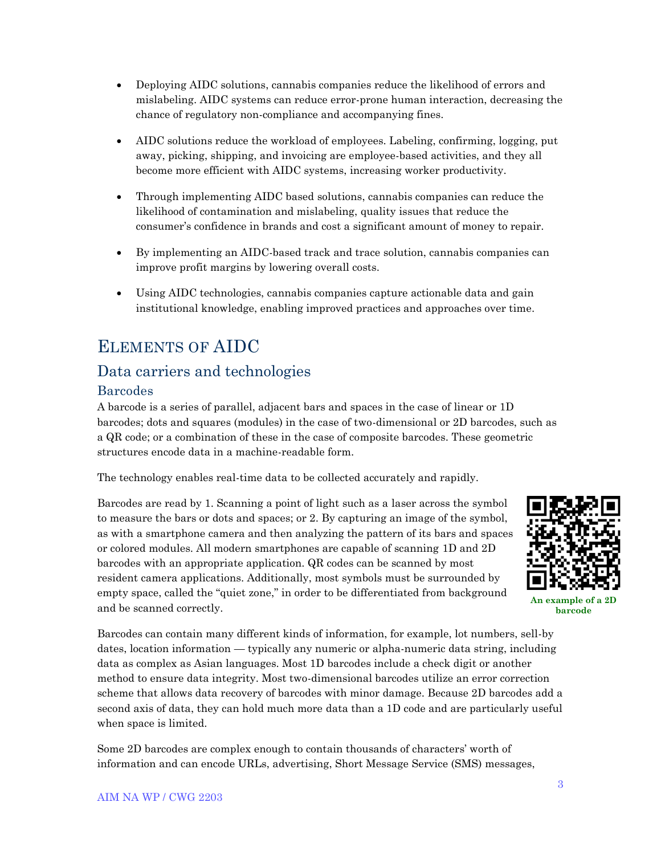- Deploying AIDC solutions, cannabis companies reduce the likelihood of errors and mislabeling. AIDC systems can reduce error-prone human interaction, decreasing the chance of regulatory non-compliance and accompanying fines.
- AIDC solutions reduce the workload of employees. Labeling, confirming, logging, put away, picking, shipping, and invoicing are employee-based activities, and they all become more efficient with AIDC systems, increasing worker productivity.
- Through implementing AIDC based solutions, cannabis companies can reduce the likelihood of contamination and mislabeling, quality issues that reduce the consumer's confidence in brands and cost a significant amount of money to repair.
- By implementing an AIDC-based track and trace solution, cannabis companies can improve profit margins by lowering overall costs.
- Using AIDC technologies, cannabis companies capture actionable data and gain institutional knowledge, enabling improved practices and approaches over time.

## <span id="page-5-0"></span>ELEMENTS OF AIDC

## <span id="page-5-1"></span>Data carriers and technologies

#### <span id="page-5-2"></span>Barcodes

A barcode is a series of parallel, adjacent bars and spaces in the case of linear or 1D barcodes; dots and squares (modules) in the case of two-dimensional or 2D barcodes, such as a QR code; or a combination of these in the case of composite barcodes. These geometric structures encode data in a machine-readable form.

The technology enables real-time data to be collected accurately and rapidly.

Barcodes are read by 1. Scanning a point of light such as a laser across the symbol to measure the bars or dots and spaces; or 2. By capturing an image of the symbol, as with a smartphone camera and then analyzing the pattern of its bars and spaces or colored modules. All modern smartphones are capable of scanning 1D and 2D barcodes with an appropriate application. QR codes can be scanned by most resident camera applications. Additionally, most symbols must be surrounded by empty space, called the "quiet zone," in order to be differentiated from background and be scanned correctly.



**An example of a 2D barcode**

Barcodes can contain many different kinds of information, for example, lot numbers, sell-by dates, location information — typically any numeric or alpha-numeric data string, including data as complex as Asian languages. Most 1D barcodes include a check digit or another method to ensure data integrity. Most two-dimensional barcodes utilize an error correction scheme that allows data recovery of barcodes with minor damage. Because 2D barcodes add a second axis of data, they can hold much more data than a 1D code and are particularly useful when space is limited.

Some 2D barcodes are complex enough to contain thousands of characters' worth of information and can encode URLs, advertising, Short Message Service (SMS) messages,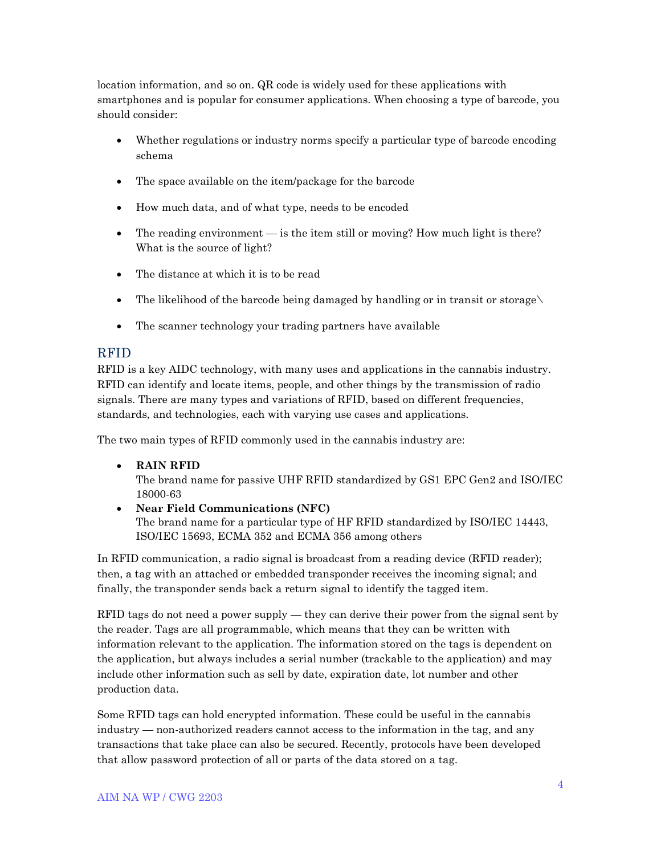location information, and so on. QR code is widely used for these applications with smartphones and is popular for consumer applications. When choosing a type of barcode, you should consider:

- Whether regulations or industry norms specify a particular type of barcode encoding schema
- The space available on the item/package for the barcode
- How much data, and of what type, needs to be encoded
- The reading environment is the item still or moving? How much light is there? What is the source of light?
- The distance at which it is to be read
- The likelihood of the barcode being damaged by handling or in transit or storage\
- The scanner technology your trading partners have available

#### <span id="page-6-0"></span>RFID

RFID is a key AIDC technology, with many uses and applications in the cannabis industry. RFID can identify and locate items, people, and other things by the transmission of radio signals. There are many types and variations of RFID, based on different frequencies, standards, and technologies, each with varying use cases and applications.

The two main types of RFID commonly used in the cannabis industry are:

• **RAIN RFID**

The brand name for passive UHF RFID standardized by GS1 EPC Gen2 and ISO/IEC 18000-63

• **Near Field Communications (NFC)** The brand name for a particular type of HF RFID standardized by ISO/IEC 14443, ISO/IEC 15693, ECMA 352 and ECMA 356 among others

In RFID communication, a radio signal is broadcast from a reading device (RFID reader); then, a tag with an attached or embedded transponder receives the incoming signal; and finally, the transponder sends back a return signal to identify the tagged item.

RFID tags do not need a power supply — they can derive their power from the signal sent by the reader. Tags are all programmable, which means that they can be written with information relevant to the application. The information stored on the tags is dependent on the application, but always includes a serial number (trackable to the application) and may include other information such as sell by date, expiration date, lot number and other production data.

Some RFID tags can hold encrypted information. These could be useful in the cannabis industry — non-authorized readers cannot access to the information in the tag, and any transactions that take place can also be secured. Recently, protocols have been developed that allow password protection of all or parts of the data stored on a tag.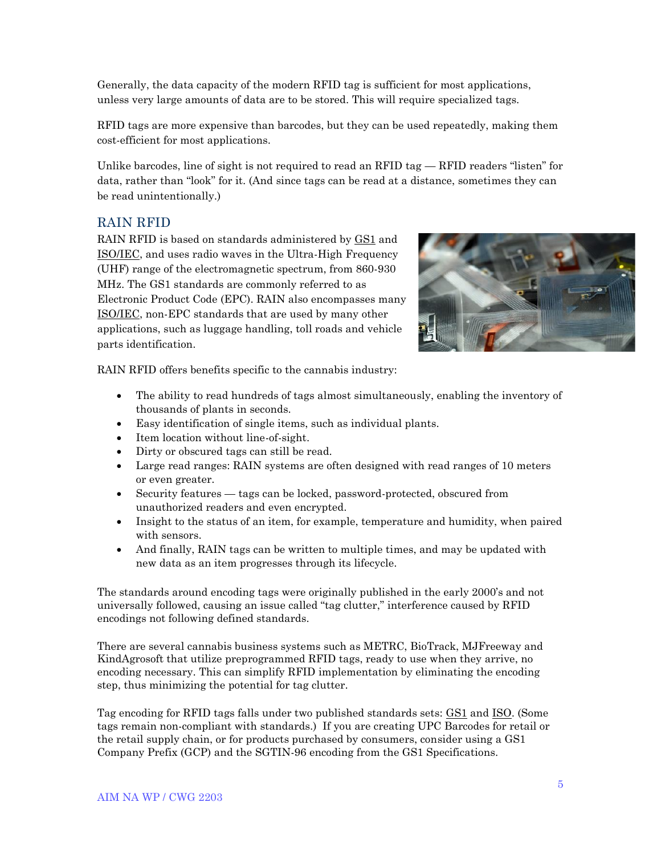Generally, the data capacity of the modern RFID tag is sufficient for most applications, unless very large amounts of data are to be stored. This will require specialized tags.

RFID tags are more expensive than barcodes, but they can be used repeatedly, making them cost-efficient for most applications.

Unlike barcodes, line of sight is not required to read an  $RFID$  tag  $RFID$  readers "listen" for data, rather than "look" for it. (And since tags can be read at a distance, sometimes they can be read unintentionally.)

#### <span id="page-7-0"></span>RAIN RFID

RAIN RFID is based on standards administered by [GS1](https://www.gs1.org/standards/rfid/uhf-air-interface-protocol) and [ISO/IEC,](https://www.iso.org/standard/63675.html) and uses radio waves in the Ultra-High Frequency (UHF) range of the electromagnetic spectrum, from 860-930 MHz. The GS1 standards are commonly referred to as Electronic Product Code (EPC). RAIN also encompasses many [ISO/IEC,](https://www.iso.org/home.html) non-EPC standards that are used by many other applications, such as luggage handling, toll roads and vehicle parts identification.



RAIN RFID offers benefits specific to the cannabis industry:

- The ability to read hundreds of tags almost simultaneously, enabling the inventory of thousands of plants in seconds.
- Easy identification of single items, such as individual plants.
- Item location without line-of-sight.
- Dirty or obscured tags can still be read.
- Large read ranges: RAIN systems are often designed with read ranges of 10 meters or even greater.
- Security features tags can be locked, password-protected, obscured from unauthorized readers and even encrypted.
- Insight to the status of an item, for example, temperature and humidity, when paired with sensors.
- And finally, RAIN tags can be written to multiple times, and may be updated with new data as an item progresses through its lifecycle.

The standards around encoding tags were originally published in the early 2000's and not universally followed, causing an issue called "tag clutter," interference caused by RFID encodings not following defined standards.

There are several cannabis business systems such as METRC, BioTrack, MJFreeway and KindAgrosoft that utilize preprogrammed RFID tags, ready to use when they arrive, no encoding necessary. This can simplify RFID implementation by eliminating the encoding step, thus minimizing the potential for tag clutter.

Tag encoding for RFID tags falls under two published standards sets: [GS1](https://www.gs1.org/standards/rfid) and [ISO.](https://www.iso.org/standards.html) (Some tags remain non-compliant with standards.) If you are creating UPC Barcodes for retail or the retail supply chain, or for products purchased by consumers, consider using a GS1 Company Prefix (GCP) and the SGTIN-96 encoding from the GS1 Specifications.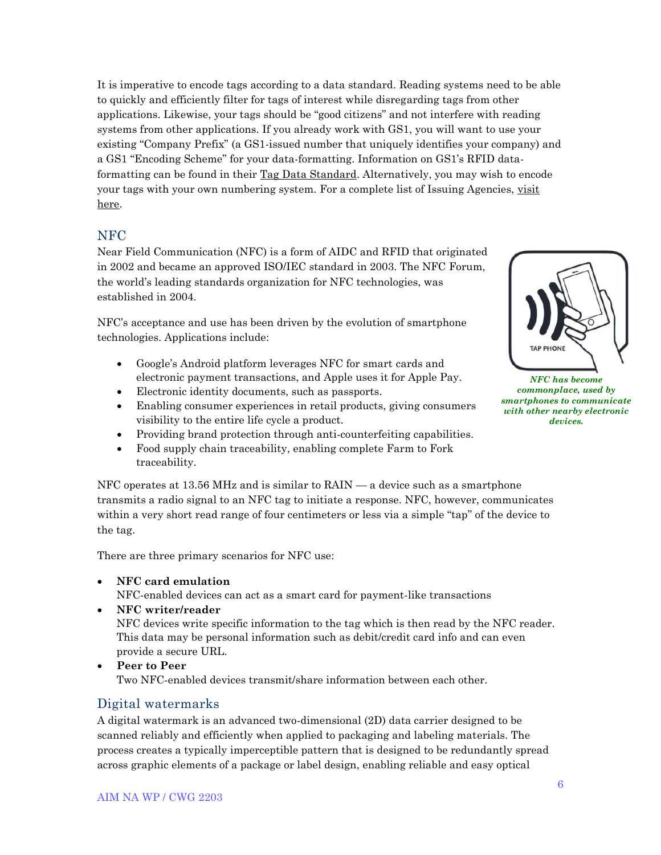It is imperative to encode tags according to a data standard. Reading systems need to be able to quickly and efficiently filter for tags of interest while disregarding tags from other applications. Likewise, your tags should be "good citizens" and not interfere with reading systems from other applications. If you already work with GS1, you will want to use your existing "Company Prefix" (a GS1-issued number that uniquely identifies your company) and a GS1 "Encoding Scheme" for your data-formatting. Information on GS1's RFID dataformatting can be found in their [Tag Data Standard.](https://www.gs1.org/standards/epc-rfid-epcis-id-keys/epc-rfid-tds/1-13) Alternatively, you may wish to encode your tags with your own numbering system. For a complete list of Issuing Agencies, visit [here.](https://www.aimglobal.org/registration-authority-iso-iec-15459.html)

#### <span id="page-8-0"></span>NFC

Near Field Communication (NFC) is a form of AIDC and RFID that originated in 2002 and became an approved ISO/IEC standard in 2003. The NFC Forum, the world's leading standards organization for NFC technologies, was established in 2004.

NFC's acceptance and use has been driven by the evolution of smartphone technologies. Applications include:

- Google's Android platform leverages NFC for smart cards and electronic payment transactions, and Apple uses it for Apple Pay.
- Electronic identity documents, such as passports.
- Enabling consumer experiences in retail products, giving consumers visibility to the entire life cycle a product.
- Providing brand protection through anti-counterfeiting capabilities.
- Food supply chain traceability, enabling complete Farm to Fork traceability.

NFC operates at 13.56 MHz and is similar to RAIN — a device such as a smartphone transmits a radio signal to an NFC tag to initiate a response. NFC, however, communicates within a very short read range of four centimeters or less via a simple "tap" of the device to the tag.

There are three primary scenarios for NFC use:

• **NFC card emulation**

NFC-enabled devices can act as a smart card for payment-like transactions

• **NFC writer/reader**

NFC devices write specific information to the tag which is then read by the NFC reader. This data may be personal information such as debit/credit card info and can even provide a secure URL.

• **Peer to Peer** Two NFC-enabled devices transmit/share information between each other.

#### <span id="page-8-1"></span>Digital watermarks

A digital watermark is an advanced two-dimensional (2D) data carrier designed to be scanned reliably and efficiently when applied to packaging and labeling materials. The process creates a typically imperceptible pattern that is designed to be redundantly spread across graphic elements of a package or label design, enabling reliable and easy optical



*NFC has become commonplace, used by smartphones to communicate with other nearby electronic devices.*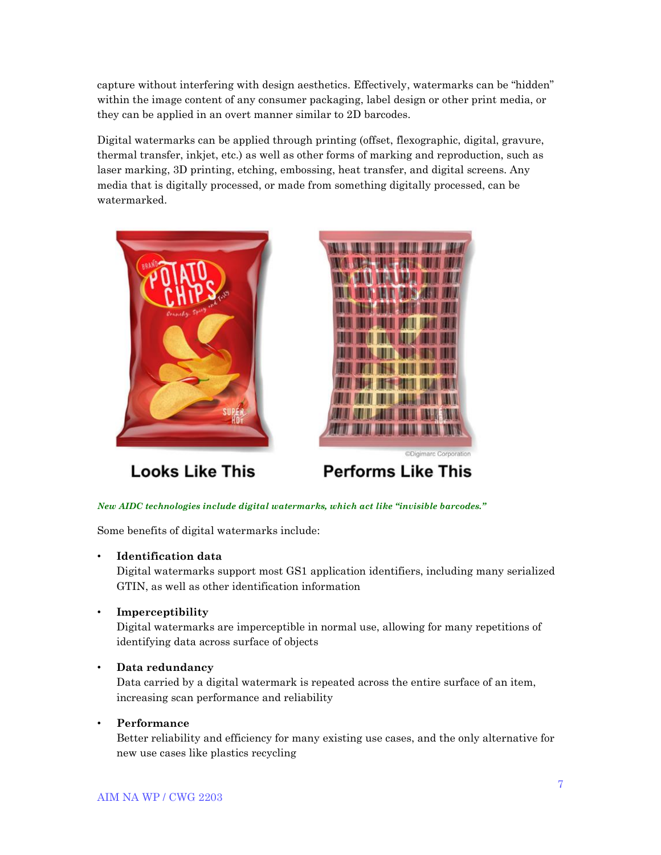capture without interfering with design aesthetics. Effectively, watermarks can be "hidden" within the image content of any consumer packaging, label design or other print media, or they can be applied in an overt manner similar to 2D barcodes.

Digital watermarks can be applied through printing (offset, flexographic, digital, gravure, thermal transfer, inkjet, etc.) as well as other forms of marking and reproduction, such as laser marking, 3D printing, etching, embossing, heat transfer, and digital screens. Any media that is digitally processed, or made from something digitally processed, can be watermarked.





**Looks Like This** 

**Performs Like This** 

*New AIDC technologies include digital watermarks, which act like "invisible barcodes."*

Some benefits of digital watermarks include:

• **Identification data**

Digital watermarks support most GS1 application identifiers, including many serialized GTIN, as well as other identification information

• **Imperceptibility**

Digital watermarks are imperceptible in normal use, allowing for many repetitions of identifying data across surface of objects

#### • **Data redundancy**

Data carried by a digital watermark is repeated across the entire surface of an item, increasing scan performance and reliability

#### • **Performance**

Better reliability and efficiency for many existing use cases, and the only alternative for new use cases like plastics recycling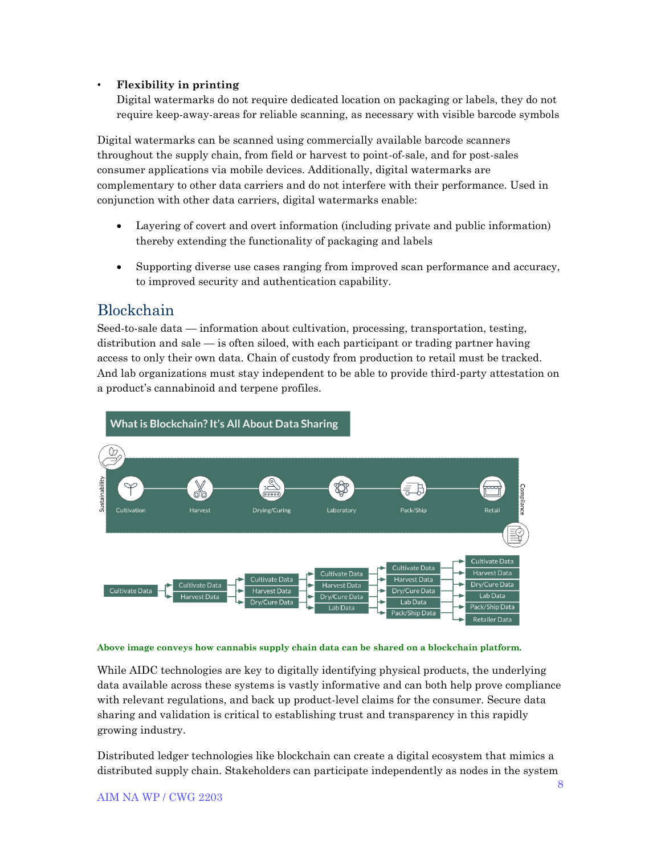#### • **Flexibility in printing**

Digital watermarks do not require dedicated location on packaging or labels, they do not require keep-away-areas for reliable scanning, as necessary with visible barcode symbols

Digital watermarks can be scanned using commercially available barcode scanners throughout the supply chain, from field or harvest to point-of-sale, and for post-sales consumer applications via mobile devices. Additionally, digital watermarks are complementary to other data carriers and do not interfere with their performance. Used in conjunction with other data carriers, digital watermarks enable:

- Layering of covert and overt information (including private and public information) thereby extending the functionality of packaging and labels
- Supporting diverse use cases ranging from improved scan performance and accuracy, to improved security and authentication capability.

#### <span id="page-10-0"></span>Blockchain

Seed-to-sale data — information about cultivation, processing, transportation, testing, distribution and sale — is often siloed, with each participant or trading partner having access to only their own data. Chain of custody from production to retail must be tracked. And lab organizations must stay independent to be able to provide third-party attestation on a product's cannabinoid and terpene profiles.



#### **Above image conveys how cannabis supply chain data can be shared on a blockchain platform.**

While AIDC technologies are key to digitally identifying physical products, the underlying data available across these systems is vastly informative and can both help prove compliance with relevant regulations, and back up product-level claims for the consumer. Secure data sharing and validation is critical to establishing trust and transparency in this rapidly growing industry.

Distributed ledger technologies like blockchain can create a digital ecosystem that mimics a distributed supply chain. Stakeholders can participate independently as nodes in the system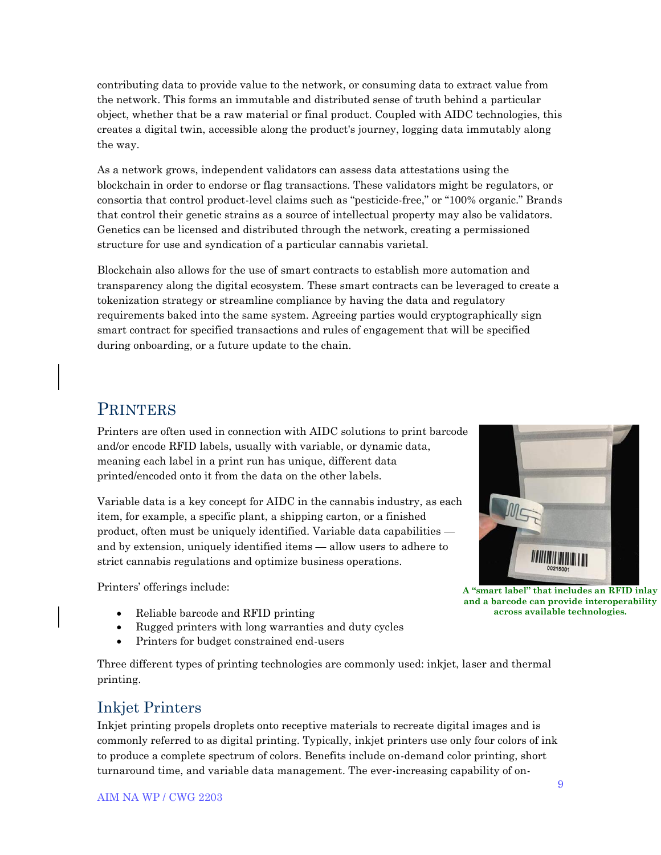contributing data to provide value to the network, or consuming data to extract value from the network. This forms an immutable and distributed sense of truth behind a particular object, whether that be a raw material or final product. Coupled with AIDC technologies, this creates a digital twin, accessible along the product's journey, logging data immutably along the way.

As a network grows, independent validators can assess data attestations using the blockchain in order to endorse or flag transactions. These validators might be regulators, or consortia that control product-level claims such as "pesticide-free," or "100% organic." Brands that control their genetic strains as a source of intellectual property may also be validators. Genetics can be licensed and distributed through the network, creating a permissioned structure for use and syndication of a particular cannabis varietal.

Blockchain also allows for the use of smart contracts to establish more automation and transparency along the digital ecosystem. These smart contracts can be leveraged to create a tokenization strategy or streamline compliance by having the data and regulatory requirements baked into the same system. Agreeing parties would cryptographically sign smart contract for specified transactions and rules of engagement that will be specified during onboarding, or a future update to the chain.

## <span id="page-11-0"></span>PRINTERS

Printers are often used in connection with AIDC solutions to print barcode and/or encode RFID labels, usually with variable, or dynamic data, meaning each label in a print run has unique, different data printed/encoded onto it from the data on the other labels.

Variable data is a key concept for AIDC in the cannabis industry, as each item, for example, a specific plant, a shipping carton, or a finished product, often must be uniquely identified. Variable data capabilities and by extension, uniquely identified items — allow users to adhere to strict cannabis regulations and optimize business operations.

Printers' offerings include:

- Reliable barcode and RFID printing
- Rugged printers with long warranties and duty cycles
- Printers for budget constrained end-users

Three different types of printing technologies are commonly used: inkjet, laser and thermal printing.

## <span id="page-11-1"></span>Inkjet Printers

Inkjet printing propels droplets onto receptive materials to recreate digital images and is commonly referred to as digital printing. Typically, inkjet printers use only four colors of ink to produce a complete spectrum of colors. Benefits include on-demand color printing, short turnaround time, and variable data management. The ever-increasing capability of on-



**A "smart label" that includes an RFID inlay and a barcode can provide interoperability across available technologies.**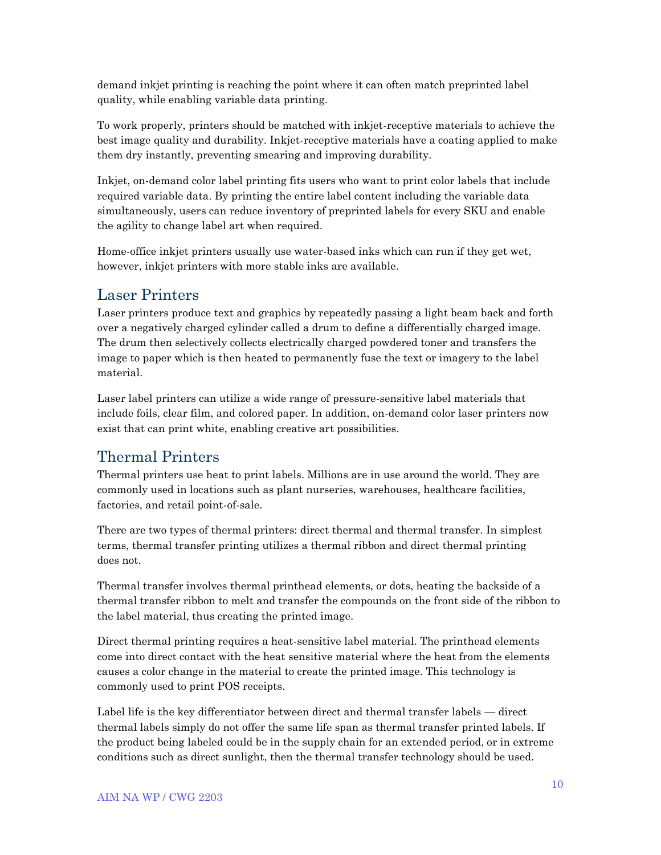demand inkjet printing is reaching the point where it can often match preprinted label quality, while enabling variable data printing.

To work properly, printers should be matched with inkjet-receptive materials to achieve the best image quality and durability. Inkjet-receptive materials have a coating applied to make them dry instantly, preventing smearing and improving durability.

Inkjet, on-demand color label printing fits users who want to print color labels that include required variable data. By printing the entire label content including the variable data simultaneously, users can reduce inventory of preprinted labels for every SKU and enable the agility to change label art when required.

Home-office inkjet printers usually use water-based inks which can run if they get wet, however, inkjet printers with more stable inks are available.

## <span id="page-12-0"></span>Laser Printers

Laser printers produce text and graphics by repeatedly passing a light beam back and forth over a negatively charged cylinder called a drum to define a differentially charged image. The drum then selectively collects electrically charged powdered toner and transfers the image to paper which is then heated to permanently fuse the text or imagery to the label material.

Laser label printers can utilize a wide range of pressure-sensitive label materials that include foils, clear film, and colored paper. In addition, on-demand color laser printers now exist that can print white, enabling creative art possibilities.

## <span id="page-12-1"></span>Thermal Printers

Thermal printers use heat to print labels. Millions are in use around the world. They are commonly used in locations such as plant nurseries, warehouses, healthcare facilities, factories, and retail point-of-sale.

There are two types of thermal printers: direct thermal and thermal transfer. In simplest terms, thermal transfer printing utilizes a thermal ribbon and direct thermal printing does not.

Thermal transfer involves thermal printhead elements, or dots, heating the backside of a thermal transfer ribbon to melt and transfer the compounds on the front side of the ribbon to the label material, thus creating the printed image.

Direct thermal printing requires a heat-sensitive label material. The printhead elements come into direct contact with the heat sensitive material where the heat from the elements causes a color change in the material to create the printed image. This technology is commonly used to print POS receipts.

Label life is the key differentiator between direct and thermal transfer labels — direct thermal labels simply do not offer the same life span as thermal transfer printed labels. If the product being labeled could be in the supply chain for an extended period, or in extreme conditions such as direct sunlight, then the thermal transfer technology should be used.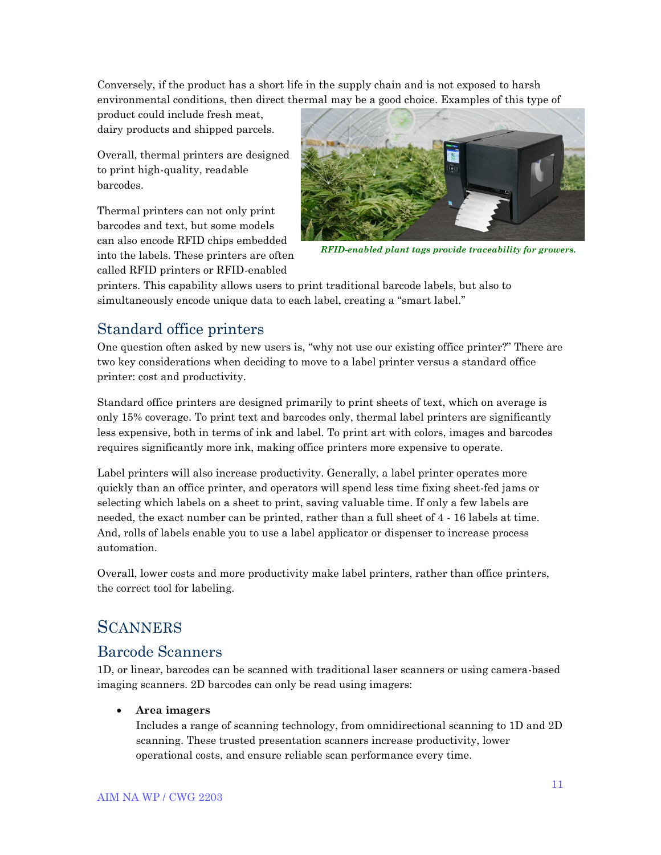Conversely, if the product has a short life in the supply chain and is not exposed to harsh environmental conditions, then direct thermal may be a good choice. Examples of this type of

product could include fresh meat, dairy products and shipped parcels.

Overall, thermal printers are designed to print high-quality, readable barcodes.

Thermal printers can not only print barcodes and text, but some models can also encode RFID chips embedded into the labels. These printers are often called RFID printers or RFID-enabled



*RFID-enabled plant tags provide traceability for growers.*

printers. This capability allows users to print traditional barcode labels, but also to simultaneously encode unique data to each label, creating a "smart label."

## <span id="page-13-0"></span>Standard office printers

One question often asked by new users is, "why not use our existing office printer?" There are two key considerations when deciding to move to a label printer versus a standard office printer: cost and productivity.

Standard office printers are designed primarily to print sheets of text, which on average is only 15% coverage. To print text and barcodes only, thermal label printers are significantly less expensive, both in terms of ink and label. To print art with colors, images and barcodes requires significantly more ink, making office printers more expensive to operate.

Label printers will also increase productivity. Generally, a label printer operates more quickly than an office printer, and operators will spend less time fixing sheet-fed jams or selecting which labels on a sheet to print, saving valuable time. If only a few labels are needed, the exact number can be printed, rather than a full sheet of 4 - 16 labels at time. And, rolls of labels enable you to use a label applicator or dispenser to increase process automation.

Overall, lower costs and more productivity make label printers, rather than office printers, the correct tool for labeling.

## <span id="page-13-1"></span>**SCANNERS**

## <span id="page-13-2"></span>Barcode Scanners

1D, or linear, barcodes can be scanned with traditional laser scanners or using camera-based imaging scanners. 2D barcodes can only be read using imagers:

#### • **Area imagers**

Includes a range of scanning technology, from omnidirectional scanning to 1D and 2D scanning. These trusted presentation scanners increase productivity, lower operational costs, and ensure reliable scan performance every time.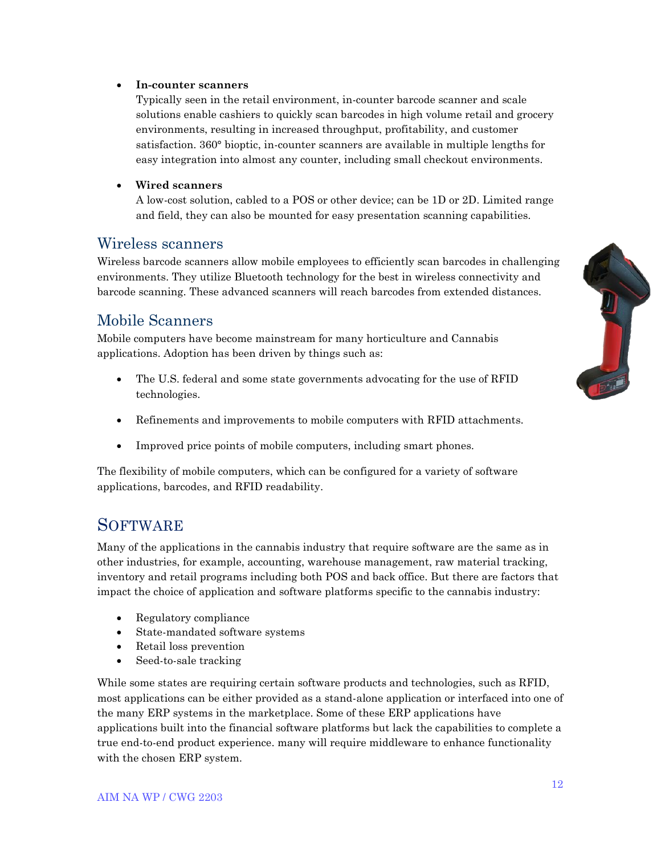#### • **In-counter scanners**

Typically seen in the retail environment, in-counter barcode scanner and scale solutions enable cashiers to quickly scan barcodes in high volume retail and grocery environments, resulting in increased throughput, profitability, and customer satisfaction. 360° bioptic, in-counter scanners are available in multiple lengths for easy integration into almost any counter, including small checkout environments.

#### • **Wired scanners**

A low-cost solution, cabled to a POS or other device; can be 1D or 2D. Limited range and field, they can also be mounted for easy presentation scanning capabilities.

#### <span id="page-14-0"></span>Wireless scanners

Wireless barcode scanners allow mobile employees to efficiently scan barcodes in challenging environments. They utilize Bluetooth technology for the best in wireless connectivity and barcode scanning. These advanced scanners will reach barcodes from extended distances.

## <span id="page-14-1"></span>Mobile Scanners

Mobile computers have become mainstream for many horticulture and Cannabis applications. Adoption has been driven by things such as:

- The U.S. federal and some state governments advocating for the use of RFID technologies.
- Refinements and improvements to mobile computers with RFID attachments.
- Improved price points of mobile computers, including smart phones.

The flexibility of mobile computers, which can be configured for a variety of software applications, barcodes, and RFID readability.

## **SOFTWARE**

Many of the applications in the cannabis industry that require software are the same as in other industries, for example, accounting, warehouse management, raw material tracking, inventory and retail programs including both POS and back office. But there are factors that impact the choice of application and software platforms specific to the cannabis industry:

- Regulatory compliance
- State-mandated software systems
- Retail loss prevention
- Seed-to-sale tracking

While some states are requiring certain software products and technologies, such as RFID, most applications can be either provided as a stand-alone application or interfaced into one of the many ERP systems in the marketplace. Some of these ERP applications have applications built into the financial software platforms but lack the capabilities to complete a true end-to-end product experience. many will require middleware to enhance functionality with the chosen ERP system.

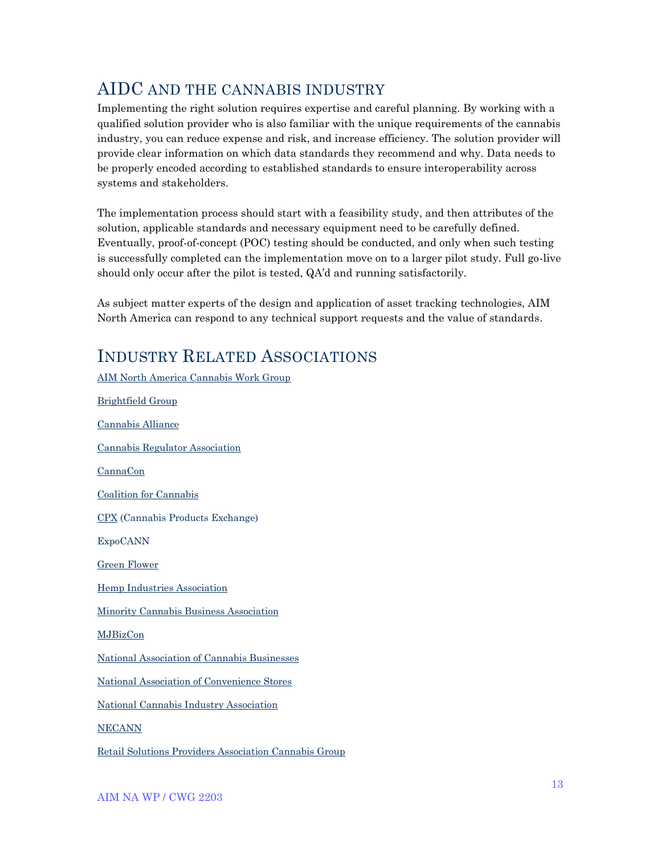## <span id="page-15-0"></span>AIDC AND THE CANNABIS INDUSTRY

Implementing the right solution requires expertise and careful planning. By working with a qualified solution provider who is also familiar with the unique requirements of the cannabis industry, you can reduce expense and risk, and increase efficiency. The solution provider will provide clear information on which data standards they recommend and why. Data needs to be properly encoded according to established standards to ensure interoperability across systems and stakeholders.

The implementation process should start with a feasibility study, and then attributes of the solution, applicable standards and necessary equipment need to be carefully defined. Eventually, proof-of-concept (POC) testing should be conducted, and only when such testing is successfully completed can the implementation move on to a larger pilot study. Full go-live should only occur after the pilot is tested, QA'd and running satisfactorily.

As subject matter experts of the design and application of asset tracking technologies, AIM North America can respond to any technical support requests and the value of standards.

## <span id="page-15-1"></span>INDUSTRY RELATED ASSOCIATIONS

[AIM North America Cannabis Work Group](https://www.aim-na.org/committees.html) [Brightfield Group](https://www.brightfieldgroup.com/) [Cannabis Alliance](https://thecannabisalliance.us/) [Cannabis Regulator Association](https://www.cann-ra.org/) CannaCon [Coalition for Cannabis](https://www.cpear.org/) [CPX](https://www.preparedfoods.com/CPX) (Cannabis Products Exchange) ExpoCANN [Green Flower](https://www.green-flower.com/) [Hemp Industries Association](https://thehia.org/) [Minority Cannabis Business Association](https://minoritycannabis.org/) [MJBizCon](https://mjbizconference.com/) [National Association of Cannabis Businesses](https://www.nacb.com/) [National Association of Convenience Stores](https://www.convenience.org/) [National Cannabis Industry Association](https://thecannabisindustry.org/) NECANN [Retail Solutions Providers Association Cannabis Group](https://www.gorspa.org/rspa-home/)